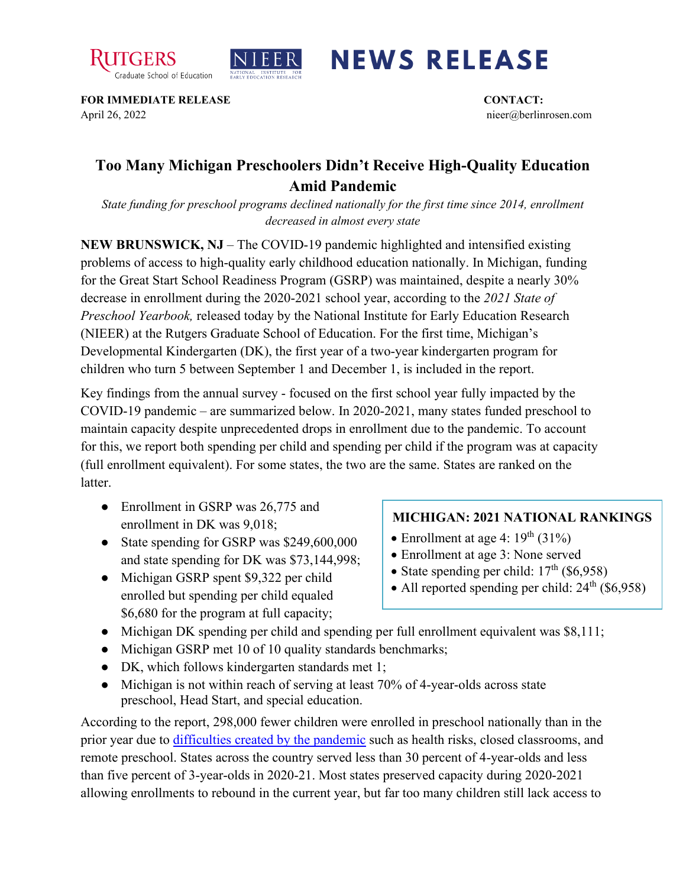



## **NEWS RELEASE**

**FOR IMMEDIATE RELEASE CONTACT:**  April 26, 2022 nieer@berlinrosen.com

## **Too Many Michigan Preschoolers Didn't Receive High-Quality Education Amid Pandemic**

*State funding for preschool programs declined nationally for the first time since 2014, enrollment decreased in almost every state*

**NEW BRUNSWICK, NJ** – The COVID-19 pandemic highlighted and intensified existing problems of access to high-quality early childhood education nationally. In Michigan, funding for the Great Start School Readiness Program (GSRP) was maintained, despite a nearly 30% decrease in enrollment during the 2020-2021 school year, according to the *2021 State of Preschool Yearbook,* released today by the National Institute for Early Education Research (NIEER) at the Rutgers Graduate School of Education. For the first time, Michigan's Developmental Kindergarten (DK), the first year of a two-year kindergarten program for children who turn 5 between September 1 and December 1, is included in the report.

Key findings from the annual survey - focused on the first school year fully impacted by the COVID-19 pandemic – are summarized below. In 2020-2021, many states funded preschool to maintain capacity despite unprecedented drops in enrollment due to the pandemic. To account for this, we report both spending per child and spending per child if the program was at capacity (full enrollment equivalent). For some states, the two are the same. States are ranked on the latter.

- Enrollment in GSRP was 26,775 and enrollment in DK was 9,018;
- State spending for GSRP was \$249,600,000 and state spending for DK was \$73,144,998;
- Michigan GSRP spent \$9,322 per child enrolled but spending per child equaled \$6,680 for the program at full capacity;

## **MICHIGAN: 2021 NATIONAL RANKINGS**

- Enrollment at age 4:  $19<sup>th</sup>$  (31%)
- Enrollment at age 3: None served
- State spending per child:  $17<sup>th</sup>$  (\$6,958)
- All reported spending per child:  $24<sup>th</sup>$  (\$6,958)
- Michigan DK spending per child and spending per full enrollment equivalent was \$8,111;
- Michigan GSRP met 10 of 10 quality standards benchmarks;
- DK, which follows kindergarten standards met 1;
- Michigan is not within reach of serving at least 70% of 4-year-olds across state preschool, Head Start, and special education.

According to the report, 298,000 fewer children were enrolled in preschool nationally than in the prior year due to [difficulties created by the pandemic](https://nieer.org/wp-content/uploads/2021/02/NIEER_Seven_Impacts_of_the_Pandemic_on_Young_Children_and_their_Parents.pdf) such as health risks, closed classrooms, and remote preschool. States across the country served less than 30 percent of 4-year-olds and less than five percent of 3-year-olds in 2020-21. Most states preserved capacity during 2020-2021 allowing enrollments to rebound in the current year, but far too many children still lack access to